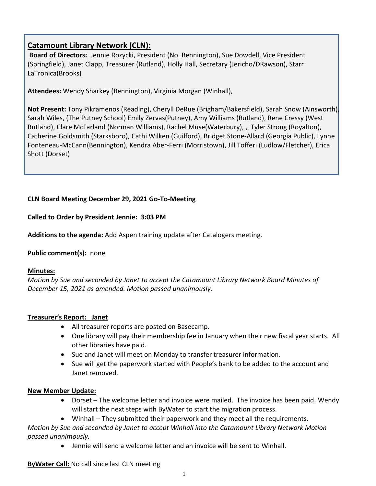# **Catamount Library Network (CLN):**

**Board of Directors:** Jennie Rozycki, President (No. Bennington), Sue Dowdell, Vice President (Springfield), Janet Clapp, Treasurer (Rutland), Holly Hall, Secretary (Jericho/DRawson), Starr LaTronica(Brooks)

**Attendees:** Wendy Sharkey (Bennington), Virginia Morgan (Winhall),

**Not Present:** Tony Pikramenos (Reading), Cheryll DeRue (Brigham/Bakersfield), Sarah Snow (Ainsworth), Sarah Wiles, (The Putney School) Emily Zervas(Putney), Amy Williams (Rutland), Rene Cressy (West Rutland), Clare McFarland (Norman Williams), Rachel Muse(Waterbury), , Tyler Strong (Royalton), Catherine Goldsmith (Starksboro), Cathi Wilken (Guilford), Bridget Stone-Allard (Georgia Public), Lynne Fonteneau-McCann(Bennington), Kendra Aber-Ferri (Morristown), Jill Tofferi (Ludlow/Fletcher), Erica Shott (Dorset)

# **CLN Board Meeting December 29, 2021 Go-To-Meeting**

**Called to Order by President Jennie: 3:03 PM**

**Additions to the agenda:** Add Aspen training update after Catalogers meeting.

# **Public comment(s):** none

# **Minutes:**

*Motion by Sue and seconded by Janet to accept the Catamount Library Network Board Minutes of December 15, 2021 as amended. Motion passed unanimously.*

# **Treasurer's Report: Janet**

- All treasurer reports are posted on Basecamp.
- One library will pay their membership fee in January when their new fiscal year starts. All other libraries have paid.
- Sue and Janet will meet on Monday to transfer treasurer information.
- Sue will get the paperwork started with People's bank to be added to the account and Janet removed.

# **New Member Update:**

- Dorset The welcome letter and invoice were mailed. The invoice has been paid. Wendy will start the next steps with ByWater to start the migration process.
- Winhall They submitted their paperwork and they meet all the requirements.

*Motion by Sue and seconded by Janet to accept Winhall into the Catamount Library Network Motion passed unanimously.* 

• Jennie will send a welcome letter and an invoice will be sent to Winhall.

**ByWater Call:** No call since last CLN meeting